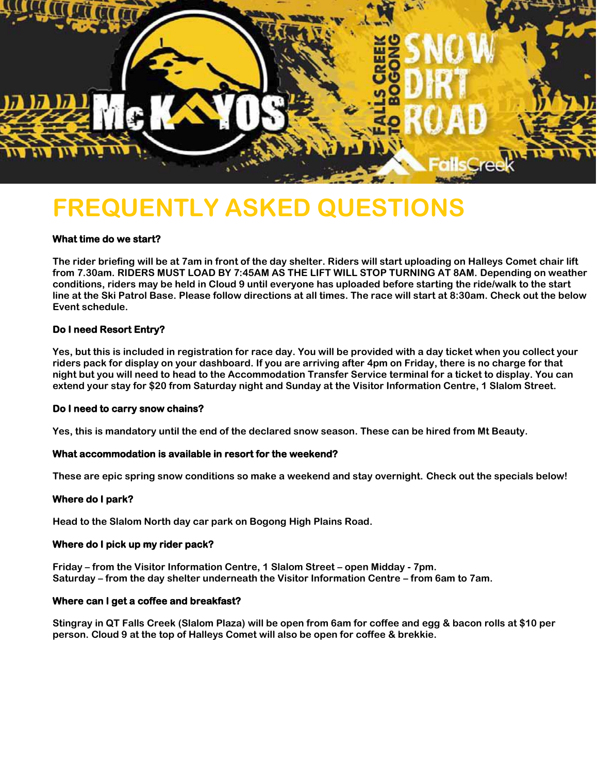

# **FREQUENTLY ASKED QUESTIONS**

# **What time do we start?**

**The rider briefing will be at 7am in front of the day shelter. Riders will start uploading on Halleys Comet chair lift from 7.30am. RIDERS MUST LOAD BY 7:45AM AS THE LIFT WILL STOP TURNING AT 8AM. Depending on weather conditions, riders may be held in Cloud 9 until everyone has uploaded before starting the ride/walk to the start line at the Ski Patrol Base. Please follow directions at all times. The race will start at 8:30am. Check out the below Event schedule.**

# **Do I need Resort Entry?**

**Yes, but this is included in registration for race day. You will be provided with a day ticket when you collect your riders pack for display on your dashboard. If you are arriving after 4pm on Friday, there is no charge for that night but you will need to head to the Accommodation Transfer Service terminal for a ticket to display. You can extend your stay for \$20 from Saturday night and Sunday at the Visitor Information Centre, 1 Slalom Street.**

# **Do I need to carry snow chains?**

**Yes, this is mandatory until the end of the declared snow season. These can be hired from Mt Beauty.**

# **What accommodation is available in resort for the weekend?**

**These are epic spring snow conditions so make a weekend and stay overnight. Check out the specials below!**

# **Where do I park?**

**Head to the Slalom North day car park on Bogong High Plains Road.**

# **Where do I pick up my rider pack?**

**Friday – from the Visitor Information Centre, 1 Slalom Street – open Midday - 7pm. Saturday – from the day shelter underneath the Visitor Information Centre – from 6am to 7am.**

# **Where can I get a coffee and breakfast?**

**Stingray in QT Falls Creek (Slalom Plaza) will be open from 6am for coffee and egg & bacon rolls at \$10 per person. Cloud 9 at the top of Halleys Comet will also be open for coffee & brekkie.**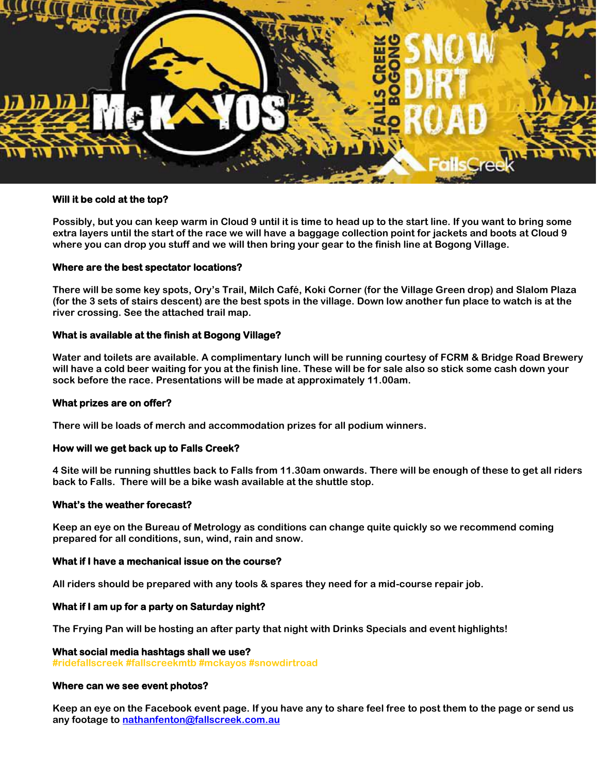

#### **Will it be cold at the top?**

**Possibly, but you can keep warm in Cloud 9 until it is time to head up to the start line. If you want to bring some extra layers until the start of the race we will have a baggage collection point for jackets and boots at Cloud 9 where you can drop you stuff and we will then bring your gear to the finish line at Bogong Village.**

#### **Where are the best spectator locations?**

**There will be some key spots, Ory's Trail, Milch Café, Koki Corner (for the Village Green drop) and Slalom Plaza (for the 3 sets of stairs descent) are the best spots in the village. Down low another fun place to watch is at the river crossing. See the attached trail map.** 

# **What is available at the finish at Bogong Village?**

**Water and toilets are available. A complimentary lunch will be running courtesy of FCRM & Bridge Road Brewery will have a cold beer waiting for you at the finish line. These will be for sale also so stick some cash down your sock before the race. Presentations will be made at approximately 11.00am.**

# **What prizes are on offer?**

**There will be loads of merch and accommodation prizes for all podium winners.**

#### **How will we get back up to Falls Creek?**

**4 Site will be running shuttles back to Falls from 11.30am onwards. There will be enough of these to get all riders back to Falls. There will be a bike wash available at the shuttle stop.**

#### **What's the weather forecast?**

**Keep an eye on the Bureau of Metrology as conditions can change quite quickly so we recommend coming prepared for all conditions, sun, wind, rain and snow.**

#### **What if I have a mechanical issue on the course?**

**All riders should be prepared with any tools & spares they need for a mid-course repair job.**

#### **What if I am up for a party on Saturday night?**

**The Frying Pan will be hosting an after party that night with Drinks Specials and event highlights!**

#### **What social media hashtags shall we use?**

**#ridefallscreek #fallscreekmtb #mckayos #snowdirtroad**

#### **Where can we see event photos?**

**Keep an eye on the Facebook event page. If you have any to share feel free to post them to the page or send us any footage to [nathanfenton@fallscreek.com.au](mailto:nathanfenton@fallscreek.com.au)**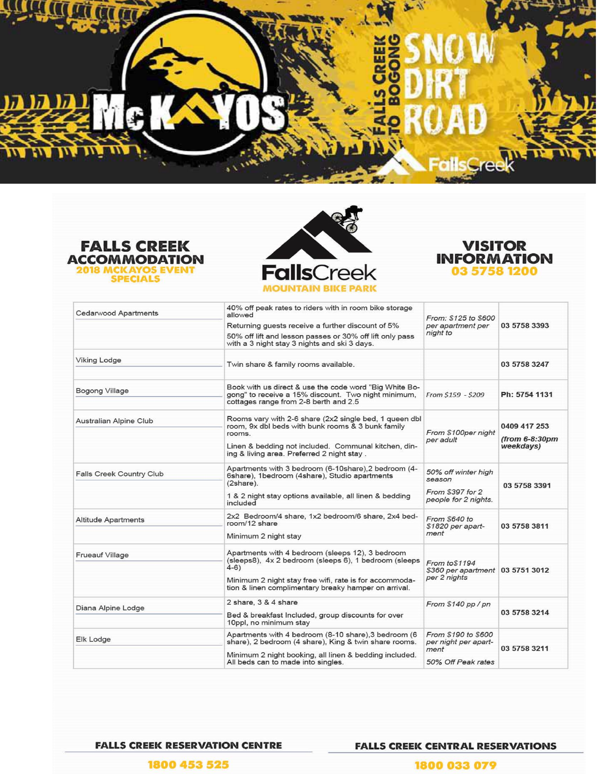# <u>MAN MAM</u> w

**LL CC** 





REE ⋛<br>ც

m



| <b>Cedarwood Apartments</b>     | 40% off peak rates to riders with in room bike storage<br>allowed                                                                                                                                                           | From: \$125 to \$600                                               |                                             |
|---------------------------------|-----------------------------------------------------------------------------------------------------------------------------------------------------------------------------------------------------------------------------|--------------------------------------------------------------------|---------------------------------------------|
|                                 | Returning quests receive a further discount of 5%                                                                                                                                                                           | per apartment per<br>night to                                      | 03 5758 3393                                |
|                                 | 50% off lift and lesson passes or 30% off lift only pass<br>with a 3 night stay 3 nights and ski 3 days.                                                                                                                    |                                                                    |                                             |
| <b>Viking Lodge</b>             | Twin share & family rooms available.                                                                                                                                                                                        |                                                                    | 03 5758 3247                                |
| <b>Bogong Village</b>           | Book with us direct & use the code word "Big White Bo-<br>gong" to receive a 15% discount. Two night minimum,<br>cottages range from 2-8 berth and 2.5                                                                      | From \$159 - \$209                                                 | Ph: 5754 1131                               |
| Australian Alpine Club          | Rooms vary with 2-6 share (2x2 single bed, 1 queen dbl<br>room, 9x dbl beds with bunk rooms & 3 bunk family<br>rooms.<br>Linen & bedding not included. Communal kitchen, din-<br>ing & living area. Preferred 2 night stay. | From \$100per night<br>per adult                                   | 0409 417 253<br>(from 6-8:30pm<br>weekdays) |
| <b>Falls Creek Country Club</b> | Apartments with 3 bedroom (6-10share), 2 bedroom (4-<br>6share), 1bedroom (4share), Studio apartments<br>(2share).<br>1 & 2 night stay options available, all linen & bedding                                               | 50% off winter high<br>season<br>From \$397 for 2                  | 03 5758 3391                                |
|                                 | included                                                                                                                                                                                                                    | people for 2 nights.                                               |                                             |
| <b>Altitude Apartments</b>      | 2x2 Bedroom/4 share, 1x2 bedroom/6 share, 2x4 bed-<br>room/12 share                                                                                                                                                         | From \$640 to<br>\$1820 per apart-<br>ment                         | 03 5758 3811                                |
|                                 | Minimum 2 night stay                                                                                                                                                                                                        |                                                                    |                                             |
| Frueauf Village                 | Apartments with 4 bedroom (sleeps 12), 3 bedroom<br>(sleeps8), 4x 2 bedroom (sleeps 6), 1 bedroom (sleeps<br>$(4-6)$                                                                                                        | From to \$1194<br>\$360 per apartment 03 5751 3012<br>per 2 nights |                                             |
|                                 | Minimum 2 night stay free wifi, rate is for accommoda-<br>tion & linen complimentary breaky hamper on arrival.                                                                                                              |                                                                    |                                             |
| Diana Alpine Lodge              | 2 share, 3 & 4 share                                                                                                                                                                                                        | From \$140 pp / pn                                                 | 03 5758 3214                                |
|                                 | Bed & breakfast Included, group discounts for over<br>10ppl, no minimum stay                                                                                                                                                |                                                                    |                                             |
| Elk Lodge                       | Apartments with 4 bedroom (8-10 share), 3 bedroom (6<br>share), 2 bedroom (4 share), King & twin share rooms.                                                                                                               | From \$190 to \$600<br>per night per apart-<br>ment                | 03 5758 3211                                |
|                                 | Minimum 2 night booking, all linen & bedding included.<br>All beds can to made into singles.                                                                                                                                | 50% Off Peak rates                                                 |                                             |

**FALLS CREEK RESERVATION CENTRE** 

**FALLS CREEK CENTRAL RESERVATIONS** 

1800 453 525

1800 033 079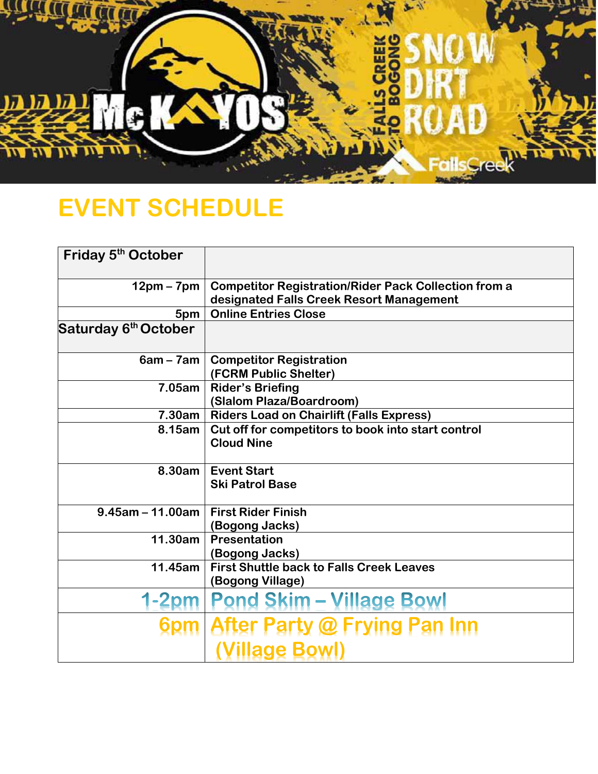

# **EVENT SCHEDULE**

| Friday 5 <sup>th</sup> October   |                                                             |  |
|----------------------------------|-------------------------------------------------------------|--|
| $12pm - 7pm$                     | <b>Competitor Registration/Rider Pack Collection from a</b> |  |
|                                  | designated Falls Creek Resort Management                    |  |
| 5pm                              | <b>Online Entries Close</b>                                 |  |
| Saturday 6 <sup>th</sup> October |                                                             |  |
| $6am - 7am$                      | <b>Competitor Registration</b>                              |  |
|                                  | (FCRM Public Shelter)                                       |  |
| 7.05am                           | <b>Rider's Briefing</b>                                     |  |
|                                  | (Slalom Plaza/Boardroom)                                    |  |
| 7.30am                           | <b>Riders Load on Chairlift (Falls Express)</b>             |  |
| 8.15am                           | Cut off for competitors to book into start control          |  |
|                                  | <b>Cloud Nine</b>                                           |  |
| 8.30am                           | <b>Event Start</b>                                          |  |
|                                  | <b>Ski Patrol Base</b>                                      |  |
| $9.45$ am – 11.00am              | <b>First Rider Finish</b>                                   |  |
|                                  | (Bogong Jacks)                                              |  |
| 11.30am                          | <b>Presentation</b>                                         |  |
|                                  | (Bogong Jacks)                                              |  |
| 11.45am                          | <b>First Shuttle back to Falls Creek Leaves</b>             |  |
|                                  | (Bogong Village)                                            |  |
|                                  | 1-2pm   Pond Skim – Village Bowl                            |  |
|                                  | 6pm After Party @ Frying Pan Inn                            |  |
|                                  | <b>Village Bowl)</b>                                        |  |